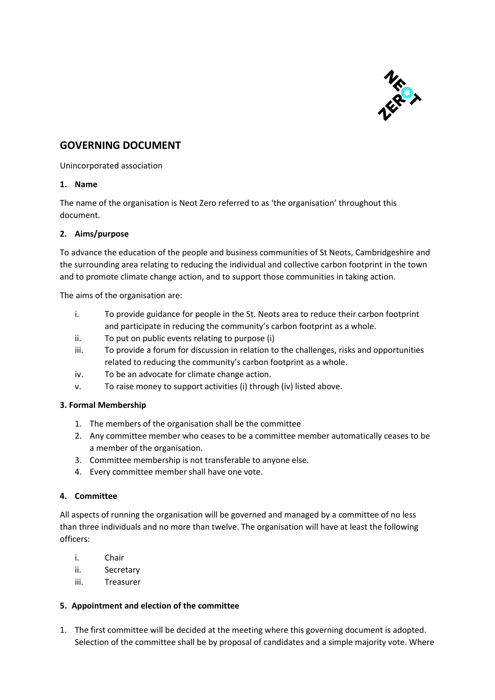

# **GOVERNING DOCUMENT**

Unincorporated association

### **1. Name**

The name of the organisation is Neot Zero referred to as 'the organisation' throughout this document.

### **2. Aims/purpose**

To advance the education of the people and business communities of St Neots, Cambridgeshire and the surrounding area relating to reducing the individual and collective carbon footprint in the town and to promote climate change action, and to support those communities in taking action.

The aims of the organisation are:

- i. To provide guidance for people in the St. Neots area to reduce their carbon footprint and participate in reducing the community's carbon footprint as a whole.
- ii. To put on public events relating to purpose (i)
- iii. To provide a forum for discussion in relation to the challenges, risks and opportunities related to reducing the community's carbon footprint as a whole.
- iv. To be an advocate for climate change action.
- v. To raise money to support activities (i) through (iv) listed above.

### **3. Formal Membership**

- 1. The members of the organisation shall be the committee
- 2. Any committee member who ceases to be a committee member automatically ceases to be a member of the organisation.
- 3. Committee membership is not transferable to anyone else.
- 4. Every committee member shall have one vote.

#### **4. Committee**

All aspects of running the organisation will be governed and managed by a committee of no less than three individuals and no more than twelve. The organisation will have at least the following officers:

- i. Chair
- ii. Secretary
- iii. Treasurer

#### **5. Appointment and election of the committee**

1. The first committee will be decided at the meeting where this governing document is adopted. Selection of the committee shall be by proposal of candidates and a simple majority vote. Where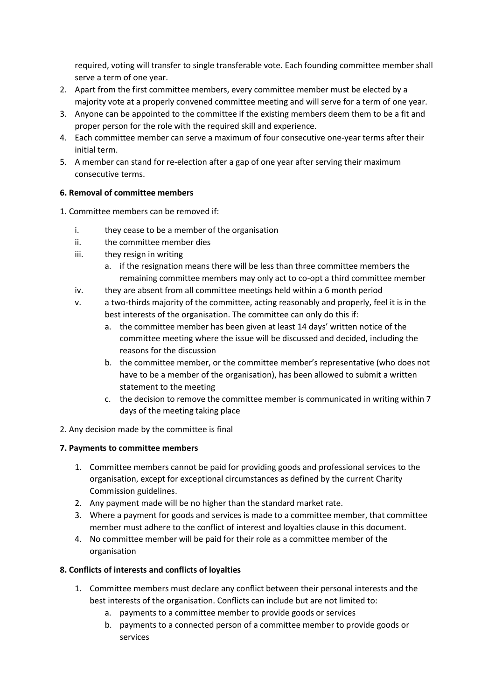required, voting will transfer to single transferable vote. Each founding committee member shall serve a term of one year.

- 2. Apart from the first committee members, every committee member must be elected by a majority vote at a properly convened committee meeting and will serve for a term of one year.
- 3. Anyone can be appointed to the committee if the existing members deem them to be a fit and proper person for the role with the required skill and experience.
- 4. Each committee member can serve a maximum of four consecutive one-year terms after their initial term.
- 5. A member can stand for re-election after a gap of one year after serving their maximum consecutive terms.

# **6. Removal of committee members**

- 1. Committee members can be removed if:
	- i. they cease to be a member of the organisation
	- ii. the committee member dies
	- iii. they resign in writing
		- a. if the resignation means there will be less than three committee members the remaining committee members may only act to co-opt a third committee member
	- iv. they are absent from all committee meetings held within a 6 month period
	- v. a two-thirds majority of the committee, acting reasonably and properly, feel it is in the best interests of the organisation. The committee can only do this if:
		- a. the committee member has been given at least 14 days' written notice of the committee meeting where the issue will be discussed and decided, including the reasons for the discussion
		- b. the committee member, or the committee member's representative (who does not have to be a member of the organisation), has been allowed to submit a written statement to the meeting
		- c. the decision to remove the committee member is communicated in writing within 7 days of the meeting taking place
- 2. Any decision made by the committee is final

### **7. Payments to committee members**

- 1. Committee members cannot be paid for providing goods and professional services to the organisation, except for exceptional circumstances as defined by the current Charity Commission guidelines.
- 2. Any payment made will be no higher than the standard market rate.
- 3. Where a payment for goods and services is made to a committee member, that committee member must adhere to the conflict of interest and loyalties clause in this document.
- 4. No committee member will be paid for their role as a committee member of the organisation

### **8. Conflicts of interests and conflicts of loyalties**

- 1. Committee members must declare any conflict between their personal interests and the best interests of the organisation. Conflicts can include but are not limited to:
	- a. payments to a committee member to provide goods or services
	- b. payments to a connected person of a committee member to provide goods or services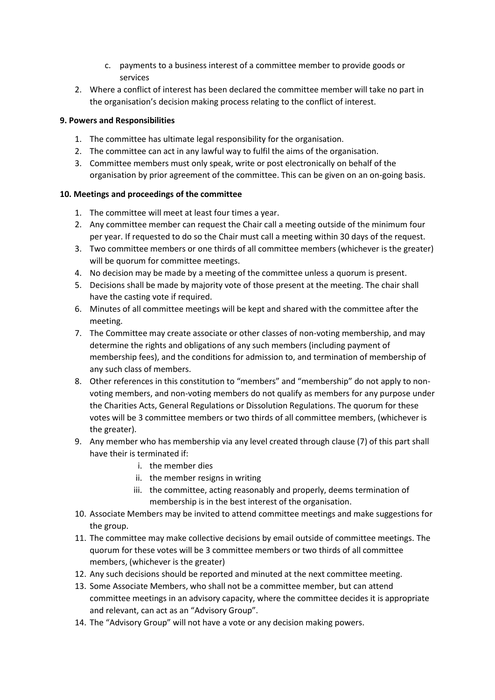- c. payments to a business interest of a committee member to provide goods or services
- 2. Where a conflict of interest has been declared the committee member will take no part in the organisation's decision making process relating to the conflict of interest.

### **9. Powers and Responsibilities**

- 1. The committee has ultimate legal responsibility for the organisation.
- 2. The committee can act in any lawful way to fulfil the aims of the organisation.
- 3. Committee members must only speak, write or post electronically on behalf of the organisation by prior agreement of the committee. This can be given on an on-going basis.

# **10. Meetings and proceedings of the committee**

- 1. The committee will meet at least four times a year.
- 2. Any committee member can request the Chair call a meeting outside of the minimum four per year. If requested to do so the Chair must call a meeting within 30 days of the request.
- 3. Two committee members or one thirds of all committee members (whichever is the greater) will be quorum for committee meetings.
- 4. No decision may be made by a meeting of the committee unless a quorum is present.
- 5. Decisions shall be made by majority vote of those present at the meeting. The chair shall have the casting vote if required.
- 6. Minutes of all committee meetings will be kept and shared with the committee after the meeting.
- 7. The Committee may create associate or other classes of non-voting membership, and may determine the rights and obligations of any such members (including payment of membership fees), and the conditions for admission to, and termination of membership of any such class of members.
- 8. Other references in this constitution to "members" and "membership" do not apply to nonvoting members, and non-voting members do not qualify as members for any purpose under the Charities Acts, General Regulations or Dissolution Regulations. The quorum for these votes will be 3 committee members or two thirds of all committee members, (whichever is the greater).
- 9. Any member who has membership via any level created through clause (7) of this part shall have their is terminated if:
	- i. the member dies
	- ii. the member resigns in writing
	- iii. the committee, acting reasonably and properly, deems termination of membership is in the best interest of the organisation.
- 10. Associate Members may be invited to attend committee meetings and make suggestions for the group.
- 11. The committee may make collective decisions by email outside of committee meetings. The quorum for these votes will be 3 committee members or two thirds of all committee members, (whichever is the greater)
- 12. Any such decisions should be reported and minuted at the next committee meeting.
- 13. Some Associate Members, who shall not be a committee member, but can attend committee meetings in an advisory capacity, where the committee decides it is appropriate and relevant, can act as an "Advisory Group".
- 14. The "Advisory Group" will not have a vote or any decision making powers.